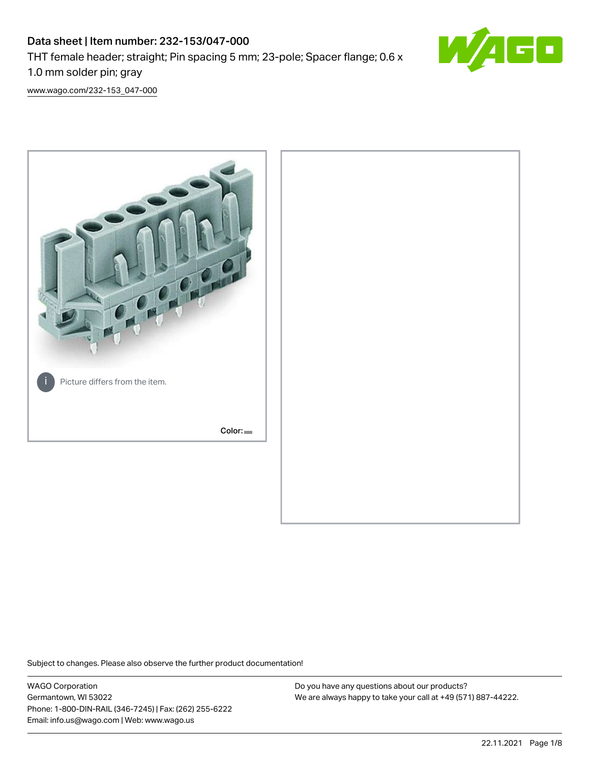# Data sheet | Item number: 232-153/047-000 THT female header; straight; Pin spacing 5 mm; 23-pole; Spacer flange; 0.6 x 1.0 mm solder pin; gray



[www.wago.com/232-153\\_047-000](http://www.wago.com/232-153_047-000)



Subject to changes. Please also observe the further product documentation!

WAGO Corporation Germantown, WI 53022 Phone: 1-800-DIN-RAIL (346-7245) | Fax: (262) 255-6222 Email: info.us@wago.com | Web: www.wago.us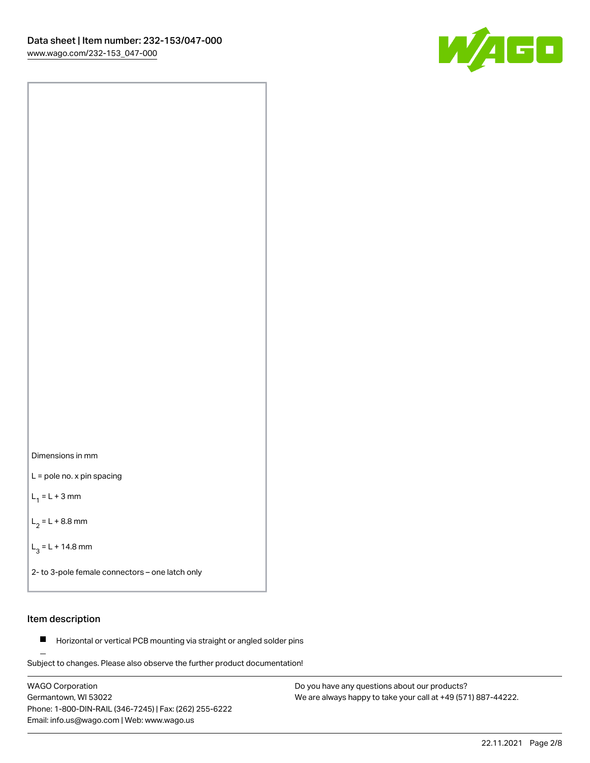



L = pole no. x pin spacing

 $L_1 = L + 3$  mm

 $L_2 = L + 8.8$  mm

 $L_3 = L + 14.8$  mm

2- to 3-pole female connectors – one latch only

# Item description

**Horizontal or vertical PCB mounting via straight or angled solder pins** 

Subject to changes. Please also observe the further product documentation! For board-to-board and board-to-wire connections

WAGO Corporation Germantown, WI 53022 Phone: 1-800-DIN-RAIL (346-7245) | Fax: (262) 255-6222 Email: info.us@wago.com | Web: www.wago.us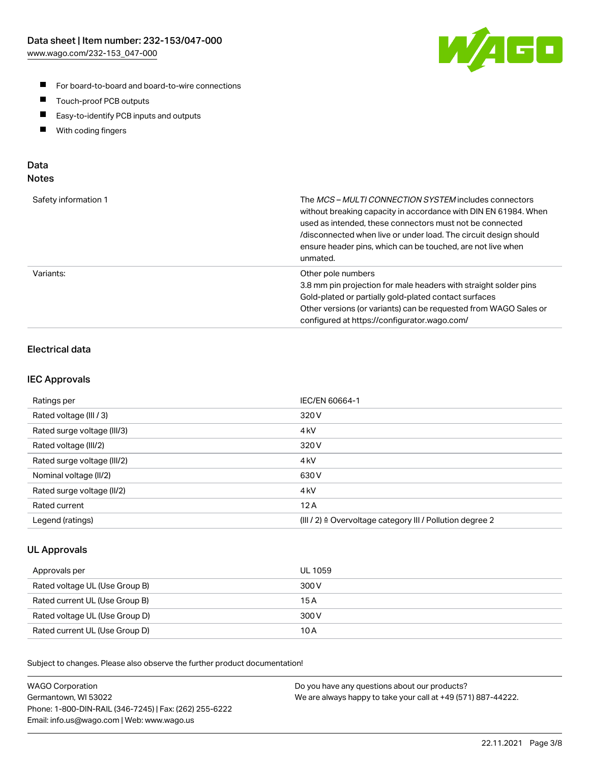

- For board-to-board and board-to-wire connections
- $\blacksquare$ Touch-proof PCB outputs
- $\blacksquare$ Easy-to-identify PCB inputs and outputs
- $\blacksquare$ With coding fingers

# Data **Notes**

| Safety information 1 | The <i>MCS – MULTI CONNECTION SYSTEM</i> includes connectors<br>without breaking capacity in accordance with DIN EN 61984. When<br>used as intended, these connectors must not be connected<br>/disconnected when live or under load. The circuit design should<br>ensure header pins, which can be touched, are not live when<br>unmated. |
|----------------------|--------------------------------------------------------------------------------------------------------------------------------------------------------------------------------------------------------------------------------------------------------------------------------------------------------------------------------------------|
| Variants:            | Other pole numbers<br>3.8 mm pin projection for male headers with straight solder pins<br>Gold-plated or partially gold-plated contact surfaces<br>Other versions (or variants) can be requested from WAGO Sales or<br>configured at https://configurator.wago.com/                                                                        |

# Electrical data

# IEC Approvals

| Ratings per                 | IEC/EN 60664-1                                                        |
|-----------------------------|-----------------------------------------------------------------------|
| Rated voltage (III / 3)     | 320 V                                                                 |
| Rated surge voltage (III/3) | 4 <sub>k</sub> V                                                      |
| Rated voltage (III/2)       | 320 V                                                                 |
| Rated surge voltage (III/2) | 4 <sub>k</sub> V                                                      |
| Nominal voltage (II/2)      | 630 V                                                                 |
| Rated surge voltage (II/2)  | 4 <sub>kV</sub>                                                       |
| Rated current               | 12A                                                                   |
| Legend (ratings)            | $(III / 2)$ $\triangle$ Overvoltage category III / Pollution degree 2 |

# UL Approvals

| Approvals per                  | UL 1059 |
|--------------------------------|---------|
| Rated voltage UL (Use Group B) | 300 V   |
| Rated current UL (Use Group B) | 15 A    |
| Rated voltage UL (Use Group D) | 300 V   |
| Rated current UL (Use Group D) | 10 A    |

Subject to changes. Please also observe the further product documentation!

| <b>WAGO Corporation</b>                                | Do you have any questions about our products?                 |
|--------------------------------------------------------|---------------------------------------------------------------|
| Germantown, WI 53022                                   | We are always happy to take your call at +49 (571) 887-44222. |
| Phone: 1-800-DIN-RAIL (346-7245)   Fax: (262) 255-6222 |                                                               |
| Email: info.us@wago.com   Web: www.wago.us             |                                                               |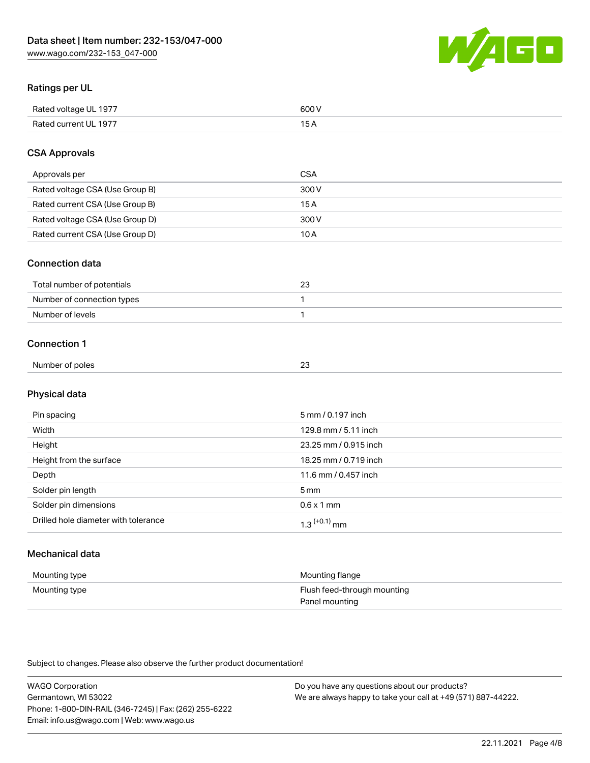

# Ratings per UL

| Rated voltage UL 1977 | 600   |
|-----------------------|-------|
| Rated current UL 1977 | . O F |

# CSA Approvals

| Approvals per                   | CSA   |
|---------------------------------|-------|
| Rated voltage CSA (Use Group B) | 300 V |
| Rated current CSA (Use Group B) | 15 A  |
| Rated voltage CSA (Use Group D) | 300 V |
| Rated current CSA (Use Group D) | 10 A  |

### Connection data

| Total number of potentials |  |
|----------------------------|--|
| Number of connection types |  |
| Number of levels           |  |

### Connection 1

| Number of poles | ົ |  |
|-----------------|---|--|
|                 | ້ |  |

# Physical data

| Pin spacing                          | 5 mm / 0.197 inch     |
|--------------------------------------|-----------------------|
| Width                                | 129.8 mm / 5.11 inch  |
| Height                               | 23.25 mm / 0.915 inch |
| Height from the surface              | 18.25 mm / 0.719 inch |
| Depth                                | 11.6 mm / 0.457 inch  |
| Solder pin length                    | 5 <sub>mm</sub>       |
| Solder pin dimensions                | $0.6 \times 1$ mm     |
| Drilled hole diameter with tolerance | $1.3$ $(+0.1)$ mm     |

# Mechanical data

| Mounting type | Mounting flange             |
|---------------|-----------------------------|
| Mounting type | Flush feed-through mounting |
|               | Panel mounting              |

Subject to changes. Please also observe the further product documentation!

| <b>WAGO Corporation</b>                                | Do you have any questions about our products?                 |
|--------------------------------------------------------|---------------------------------------------------------------|
| Germantown, WI 53022                                   | We are always happy to take your call at +49 (571) 887-44222. |
| Phone: 1-800-DIN-RAIL (346-7245)   Fax: (262) 255-6222 |                                                               |
| Email: info.us@wago.com   Web: www.wago.us             |                                                               |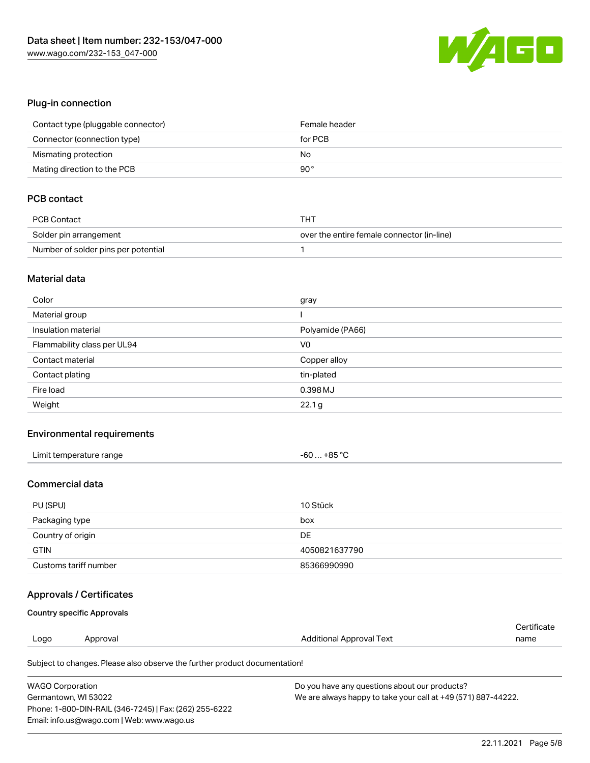

# Plug-in connection

| Contact type (pluggable connector) | Female header |
|------------------------------------|---------------|
| Connector (connection type)        | for PCB       |
| Mismating protection               | No            |
| Mating direction to the PCB        | 90°           |

# PCB contact

| PCB Contact                         | THT                                        |
|-------------------------------------|--------------------------------------------|
| Solder pin arrangement              | over the entire female connector (in-line) |
| Number of solder pins per potential |                                            |

#### Material data

| Color                       | gray             |
|-----------------------------|------------------|
| Material group              |                  |
| Insulation material         | Polyamide (PA66) |
| Flammability class per UL94 | V <sub>0</sub>   |
| Contact material            | Copper alloy     |
| Contact plating             | tin-plated       |
| Fire load                   | 0.398 MJ         |
| Weight                      | 22.1 g           |

# Environmental requirements

| Limit temperature range | $-60+85 °C$ |
|-------------------------|-------------|
|-------------------------|-------------|

### Commercial data

| PU (SPU)              | 10 Stück      |
|-----------------------|---------------|
| Packaging type        | box           |
| Country of origin     | DE            |
| <b>GTIN</b>           | 4050821637790 |
| Customs tariff number | 85366990990   |

# Approvals / Certificates

#### Country specific Approvals

|      |          |                          | ∩ertificate |
|------|----------|--------------------------|-------------|
| Logo | Approval | Additional Approval Text | name        |
|      |          |                          |             |

Subject to changes. Please also observe the further product documentation!

| <b>WAGO Corporation</b>                                | Do you have any questions about our products?                 |
|--------------------------------------------------------|---------------------------------------------------------------|
| Germantown, WI 53022                                   | We are always happy to take your call at +49 (571) 887-44222. |
| Phone: 1-800-DIN-RAIL (346-7245)   Fax: (262) 255-6222 |                                                               |
| Email: info.us@wago.com   Web: www.wago.us             |                                                               |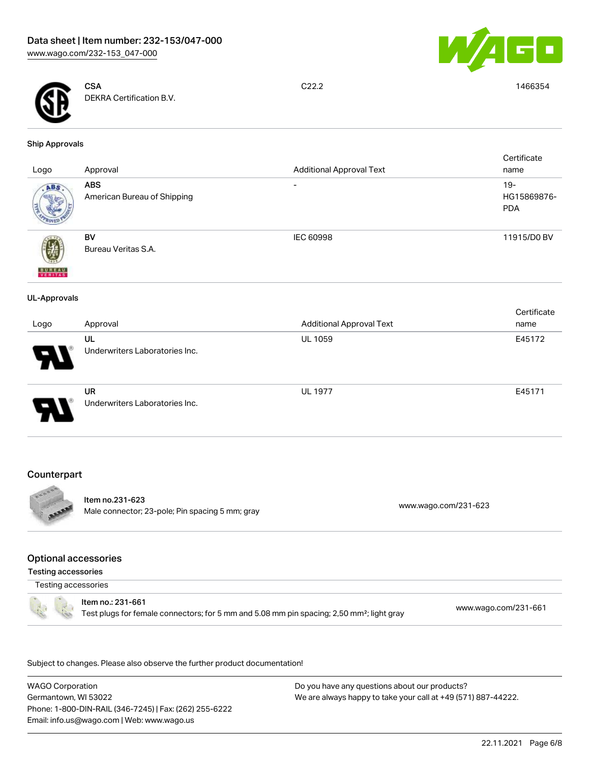



**CSA** DEKRA Certification B.V.

C22.2 1466354

#### Ship Approvals

| Logo                     | Approval                                    | <b>Additional Approval Text</b> | Certificate<br>name                 |
|--------------------------|---------------------------------------------|---------------------------------|-------------------------------------|
| ABS.                     | <b>ABS</b><br>American Bureau of Shipping   | $\overline{\phantom{0}}$        | $19 -$<br>HG15869876-<br><b>PDA</b> |
| <b>BUREAU</b><br>VERITAS | BV<br>Bureau Veritas S.A.                   | <b>IEC 60998</b>                | 11915/D0 BV                         |
| <b>UL-Approvals</b>      |                                             |                                 |                                     |
| Logo                     | Approval                                    | <b>Additional Approval Text</b> | Certificate<br>name                 |
|                          | UL<br>Underwriters Laboratories Inc.        | UL 1059                         | E45172                              |
|                          | <b>UR</b><br>Underwriters Laboratories Inc. | <b>UL 1977</b>                  | E45171                              |

# **Counterpart**



Item no.231-623 Male connector; 23-pole; Pin spacing 5 mm; gray [www.wago.com/231-623](https://www.wago.com/231-623)

### Optional accessories

Testing accessories

Testing accessories



Item no.: 231-661 Test plugs for female connectors; for 5 mm and 5.08 mm pin spacing; 2,50 mm²; light gray [www.wago.com/231-661](http://www.wago.com/231-661)

.<br>Subject to changes. Please also observe the further product documentation!

WAGO Corporation Germantown, WI 53022 Phone: 1-800-DIN-RAIL (346-7245) | Fax: (262) 255-6222 Email: info.us@wago.com | Web: www.wago.us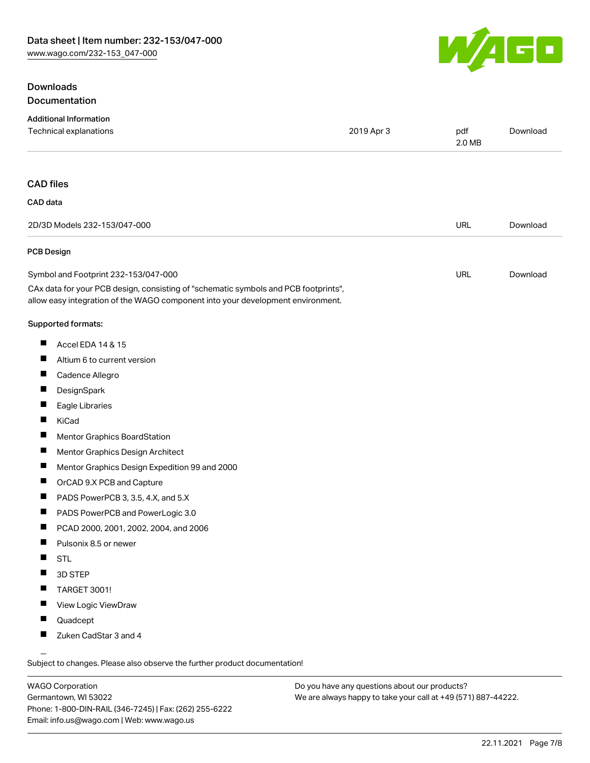# **Downloads** Documentation



| <b>Additional Information</b>                                                                                                                                          |            |               |          |
|------------------------------------------------------------------------------------------------------------------------------------------------------------------------|------------|---------------|----------|
| Technical explanations                                                                                                                                                 | 2019 Apr 3 | pdf<br>2.0 MB | Download |
| <b>CAD files</b>                                                                                                                                                       |            |               |          |
| CAD data                                                                                                                                                               |            |               |          |
| 2D/3D Models 232-153/047-000                                                                                                                                           |            | <b>URL</b>    | Download |
| <b>PCB Design</b>                                                                                                                                                      |            |               |          |
| Symbol and Footprint 232-153/047-000                                                                                                                                   |            | <b>URL</b>    | Download |
| CAx data for your PCB design, consisting of "schematic symbols and PCB footprints",<br>allow easy integration of the WAGO component into your development environment. |            |               |          |
| Supported formats:                                                                                                                                                     |            |               |          |
| ш<br>Accel EDA 14 & 15                                                                                                                                                 |            |               |          |
| ш<br>Altium 6 to current version                                                                                                                                       |            |               |          |
| П<br>Cadence Allegro                                                                                                                                                   |            |               |          |
| ш<br>DesignSpark                                                                                                                                                       |            |               |          |
| ш<br>Eagle Libraries                                                                                                                                                   |            |               |          |
| ш<br>KiCad                                                                                                                                                             |            |               |          |
| Ц<br>Mentor Graphics BoardStation                                                                                                                                      |            |               |          |
| ш<br>Mentor Graphics Design Architect                                                                                                                                  |            |               |          |
| П<br>Mentor Graphics Design Expedition 99 and 2000                                                                                                                     |            |               |          |
| ш<br>OrCAD 9.X PCB and Capture                                                                                                                                         |            |               |          |
| Ш<br>PADS PowerPCB 3, 3.5, 4.X, and 5.X                                                                                                                                |            |               |          |
| ш<br>PADS PowerPCB and PowerLogic 3.0                                                                                                                                  |            |               |          |
| ш<br>PCAD 2000, 2001, 2002, 2004, and 2006                                                                                                                             |            |               |          |
| H<br>Pulsonix 8.5 or newer                                                                                                                                             |            |               |          |
|                                                                                                                                                                        |            |               |          |
|                                                                                                                                                                        |            |               |          |
|                                                                                                                                                                        |            |               |          |
|                                                                                                                                                                        |            |               |          |
|                                                                                                                                                                        |            |               |          |
|                                                                                                                                                                        |            |               |          |
| <b>STL</b><br>3D STEP<br>ш<br>TARGET 3001!<br>View Logic ViewDraw<br>П<br>Quadcept<br>ш<br>Zuken CadStar 3 and 4                                                       |            |               |          |

Subject to changes. Please also observe the further product documentation!

WAGO Corporation Germantown, WI 53022 Phone: 1-800-DIN-RAIL (346-7245) | Fax: (262) 255-6222 Email: info.us@wago.com | Web: www.wago.us